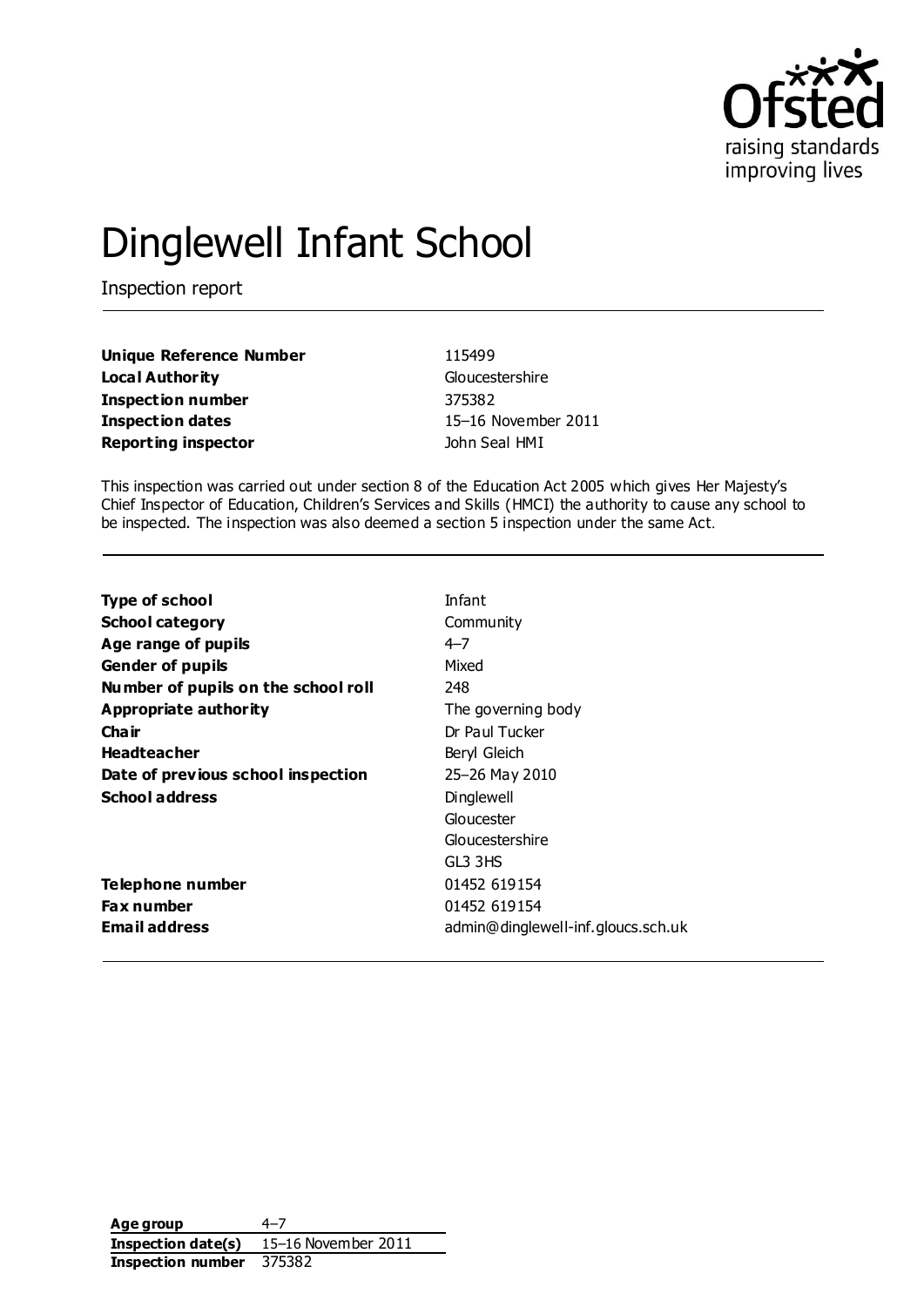

# Dinglewell Infant School

Inspection report

| <b>Unique Reference Number</b> |
|--------------------------------|
| <b>Local Authority</b>         |
| <b>Inspection number</b>       |
| <b>Inspection dates</b>        |
| <b>Reporting inspector</b>     |

**Unique Reference Number** 115499 **Gloucestershire Inspection number** 375382 **Inspection dates** 15–16 November 2011 **John Seal HMI** 

This inspection was carried out under section 8 of the Education Act 2005 which gives Her Majesty's Chief Inspector of Education, Children's Services and Skills (HMCI) the authority to cause any school to be inspected. The inspection was also deemed a section 5 inspection under the same Act.

| Type of school                      | Infant                             |
|-------------------------------------|------------------------------------|
| <b>School category</b>              | Community                          |
| Age range of pupils                 | $4 - 7$                            |
| <b>Gender of pupils</b>             | Mixed                              |
| Number of pupils on the school roll | 248                                |
| Appropriate authority               | The governing body                 |
| Cha ir                              | Dr Paul Tucker                     |
| <b>Headteacher</b>                  | Beryl Gleich                       |
| Date of previous school inspection  | 25-26 May 2010                     |
| <b>School address</b>               | Dinglewell                         |
|                                     | Gloucester                         |
|                                     | Gloucestershire                    |
|                                     | GL3 3HS                            |
| Telephone number                    | 01452 619154                       |
| <b>Fax number</b>                   | 01452 619154                       |
| <b>Email address</b>                | admin@dinglewell-inf.gloucs.sch.uk |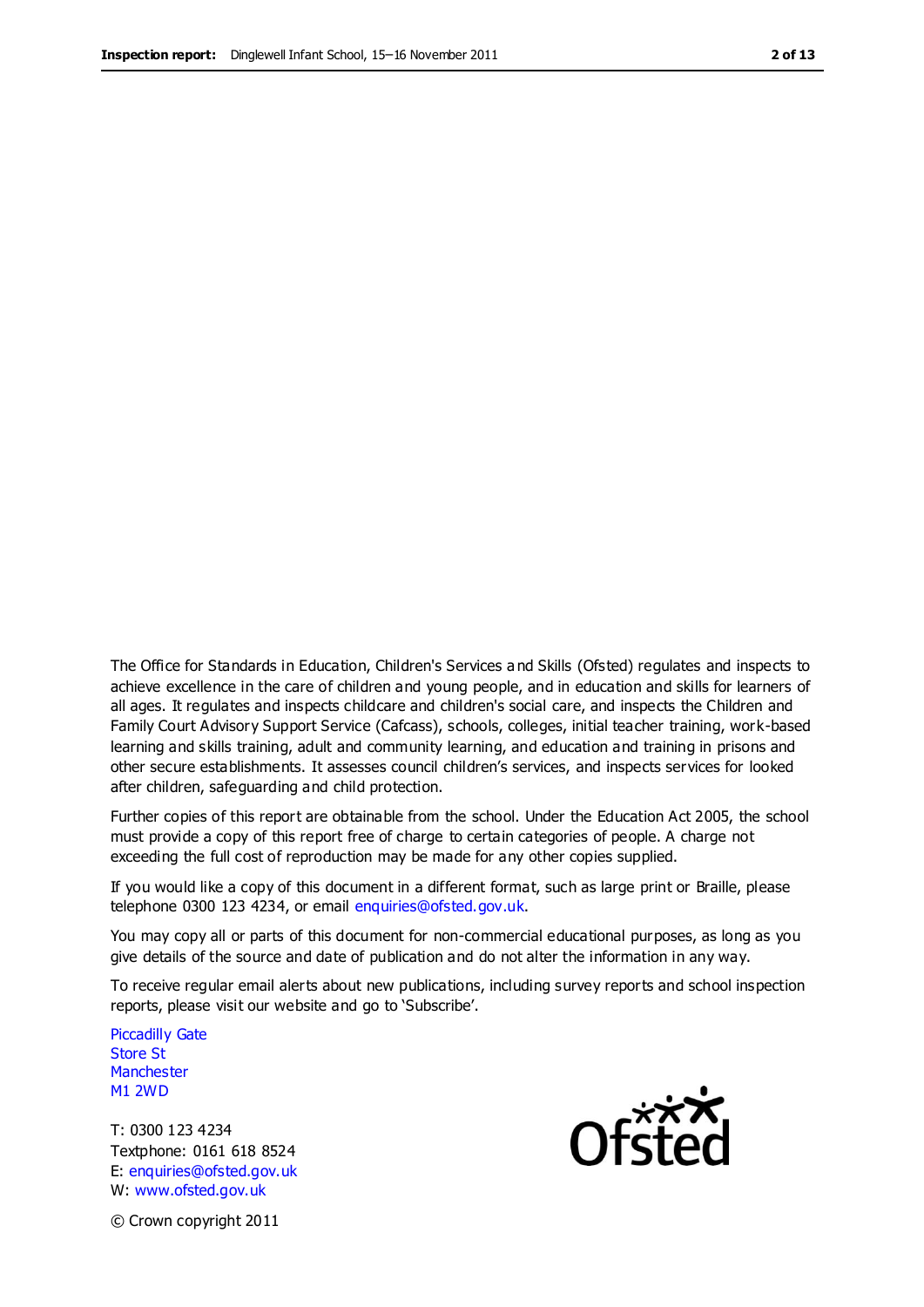The Office for Standards in Education, Children's Services a nd Skills (Ofsted) regulates and inspects to achieve excellence in the care of children and young people, and in education and skills for learners of all ages. It regulates and inspects childcare and children's social care, and inspects the Children and Family Court Advisory Support Service (Cafcass), schools, colleges, initial teacher training, work-based learning and skills training, adult and community learning, and education and training in prisons and other secure establishments. It assesses council children's services, and inspects services for looked after children, safeguarding and child protection.

Further copies of this report are obtainable from the school. Under the Education Act 2005, the school must provide a copy of this report free of charge to certain categories of people. A charge not exceeding the full cost of reproduction may be made for any other copies supplied.

If you would like a copy of this document in a different format, such as large print or Braille, please telephone 0300 123 4234, or email enquiries@ofsted.gov.uk.

You may copy all or parts of this document for non-commercial educational purposes, as long as you give details of the source and date of publication and do not alter the information in any way.

To receive regular email alerts about new publications, including survey reports and school inspection reports, please visit our website and go to 'Subscribe'.

Piccadilly Gate Store St **Manchester** M1 2WD

T: 0300 123 4234 Textphone: 0161 618 8524 E: enquiries@ofsted.gov.uk W: www.ofsted.gov.uk



© Crown copyright 2011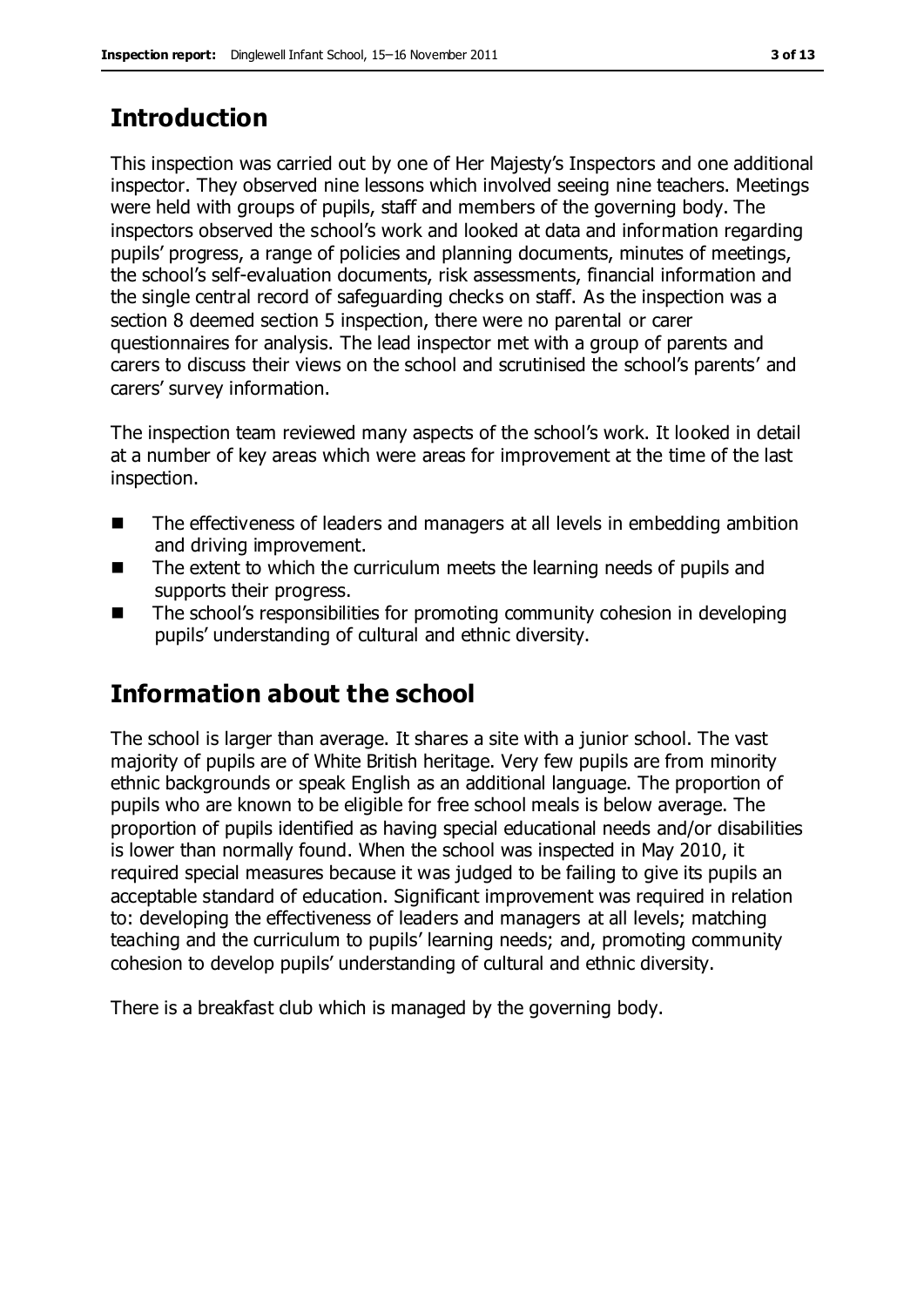# **Introduction**

This inspection was carried out by one of Her Majesty's Inspectors and one additional inspector. They observed nine lessons which involved seeing nine teachers. Meetings were held with groups of pupils, staff and members of the governing body. The inspectors observed the school's work and looked at data and information regarding pupils' progress, a range of policies and planning documents, minutes of meetings, the school's self-evaluation documents, risk assessments, financial information and the single central record of safeguarding checks on staff. As the inspection was a section 8 deemed section 5 inspection, there were no parental or carer questionnaires for analysis. The lead inspector met with a group of parents and carers to discuss their views on the school and scrutinised the school's parents' and carers' survey information.

The inspection team reviewed many aspects of the school's work. It looked in detail at a number of key areas which were areas for improvement at the time of the last inspection.

- The effectiveness of leaders and managers at all levels in embedding ambition and driving improvement.
- $\blacksquare$  The extent to which the curriculum meets the learning needs of pupils and supports their progress.
- The school's responsibilities for promoting community cohesion in developing pupils' understanding of cultural and ethnic diversity.

# **Information about the school**

The school is larger than average. It shares a site with a junior school. The vast majority of pupils are of White British heritage. Very few pupils are from minority ethnic backgrounds or speak English as an additional language. The proportion of pupils who are known to be eligible for free school meals is below average. The proportion of pupils identified as having special educational needs and/or disabilities is lower than normally found. When the school was inspected in May 2010, it required special measures because it was judged to be failing to give its pupils an acceptable standard of education. Significant improvement was required in relation to: developing the effectiveness of leaders and managers at all levels; matching teaching and the curriculum to pupils' learning needs; and, promoting community cohesion to develop pupils' understanding of cultural and ethnic diversity.

There is a breakfast club which is managed by the governing body.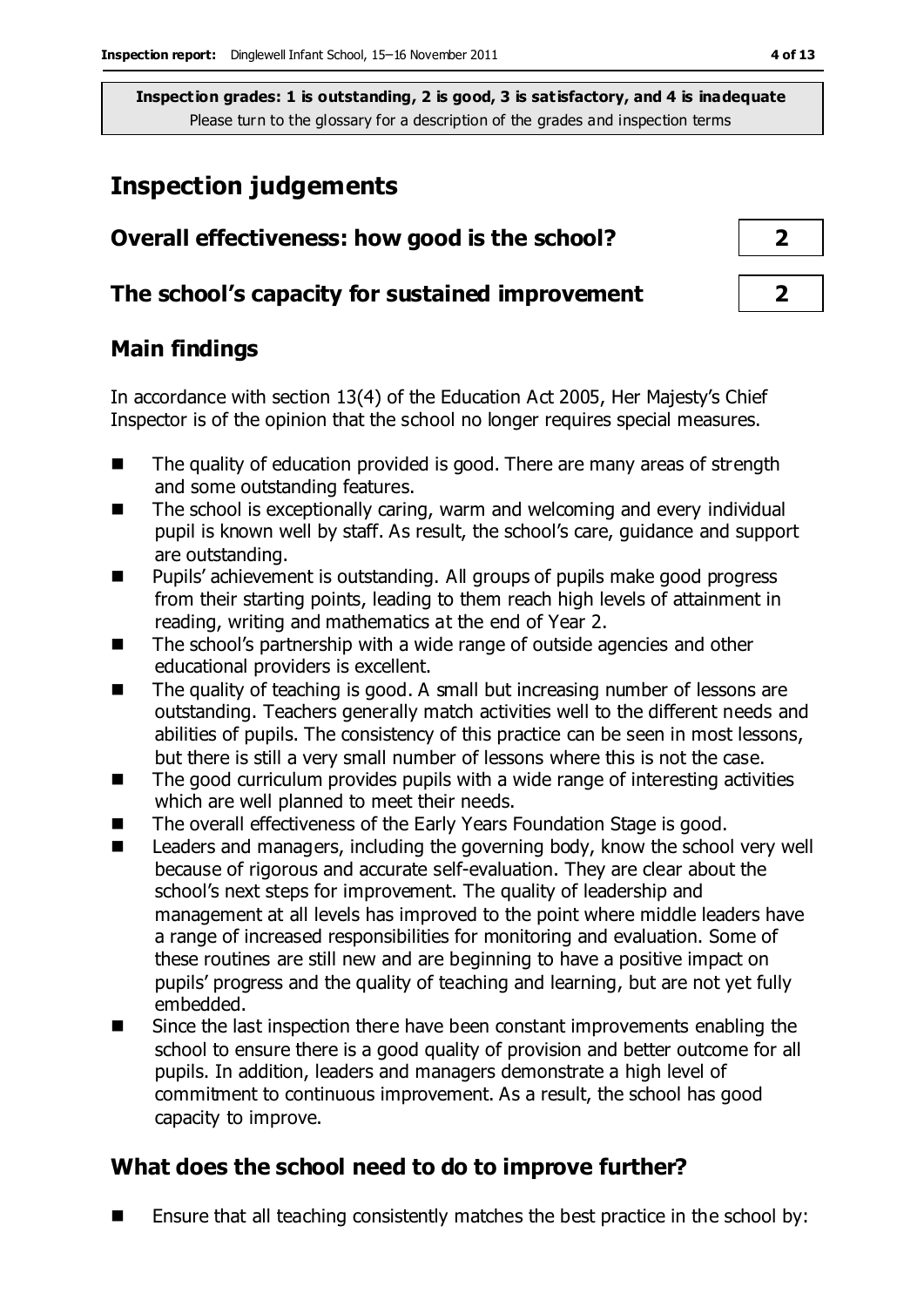# **Inspection judgements**

| Overall effectiveness: how good is the school?  |  |
|-------------------------------------------------|--|
| The school's capacity for sustained improvement |  |

# **Main findings**

In accordance with section 13(4) of the Education Act 2005, Her Majesty's Chief Inspector is of the opinion that the school no longer requires special measures.

- The quality of education provided is good. There are many areas of strength and some outstanding features.
- The school is exceptionally caring, warm and welcoming and every individual pupil is known well by staff. As result, the school's care, guidance and support are outstanding.
- Pupils' achievement is outstanding. All groups of pupils make good progress from their starting points, leading to them reach high levels of attainment in reading, writing and mathematics at the end of Year 2.
- The school's partnership with a wide range of outside agencies and other educational providers is excellent.
- The quality of teaching is good. A small but increasing number of lessons are outstanding. Teachers generally match activities well to the different needs and abilities of pupils. The consistency of this practice can be seen in most lessons, but there is still a very small number of lessons where this is not the case.
- The good curriculum provides pupils with a wide range of interesting activities which are well planned to meet their needs.
- The overall effectiveness of the Early Years Foundation Stage is good.
- Leaders and managers, including the governing body, know the school very well because of rigorous and accurate self-evaluation. They are clear about the school's next steps for improvement. The quality of leadership and management at all levels has improved to the point where middle leaders have a range of increased responsibilities for monitoring and evaluation. Some of these routines are still new and are beginning to have a positive impact on pupils' progress and the quality of teaching and learning, but are not yet fully embedded.
- Since the last inspection there have been constant improvements enabling the school to ensure there is a good quality of provision and better outcome for all pupils. In addition, leaders and managers demonstrate a high level of commitment to continuous improvement. As a result, the school has good capacity to improve.

# **What does the school need to do to improve further?**

**E** Ensure that all teaching consistently matches the best practice in the school by: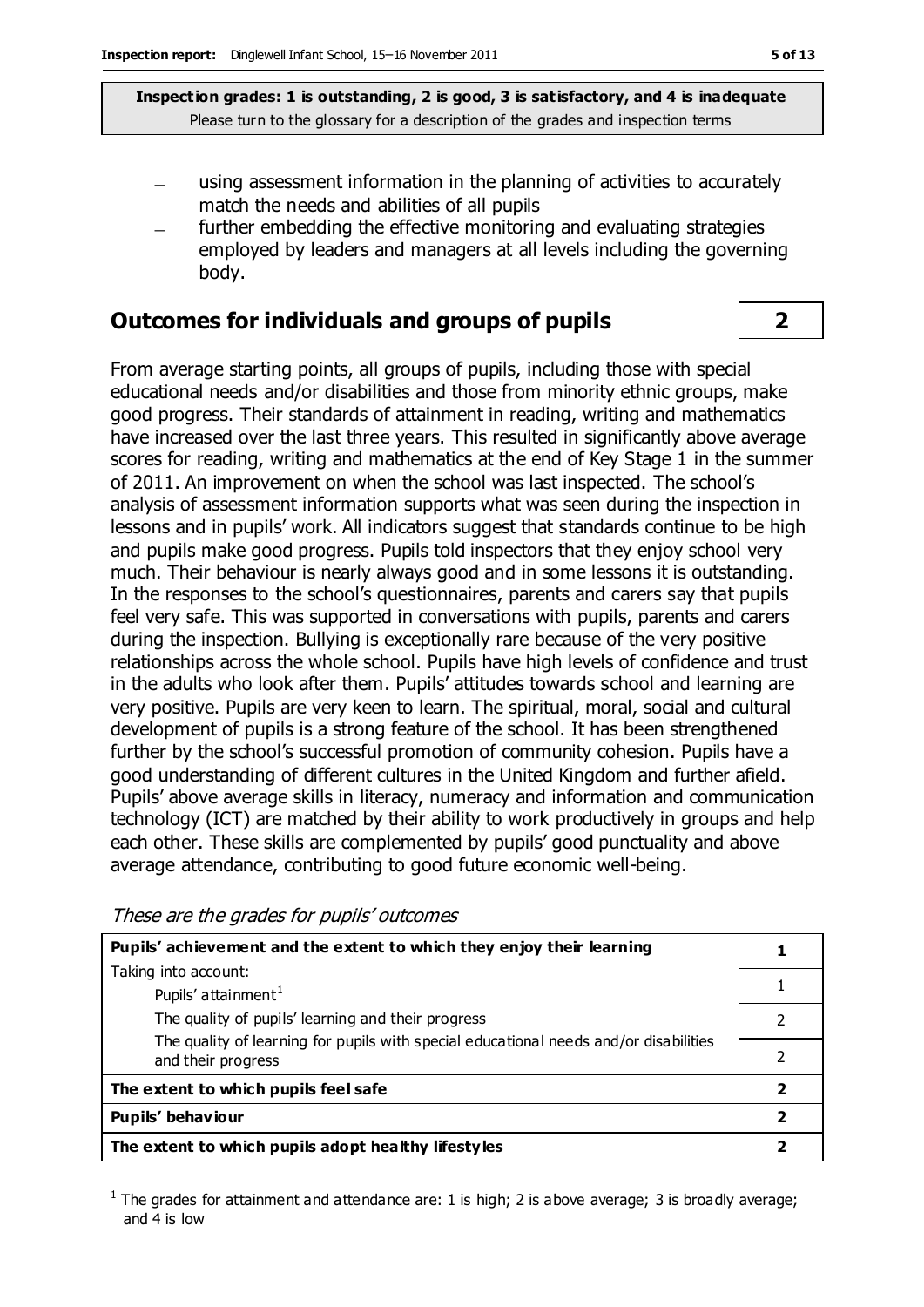- using assessment information in the planning of activities to accurately match the needs and abilities of all pupils
- further embedding the effective monitoring and evaluating strategies  $\equiv$ employed by leaders and managers at all levels including the governing body.

#### **Outcomes for individuals and groups of pupils 2**

From average starting points, all groups of pupils, including those with special educational needs and/or disabilities and those from minority ethnic groups, make good progress. Their standards of attainment in reading, writing and mathematics have increased over the last three years. This resulted in significantly above average scores for reading, writing and mathematics at the end of Key Stage 1 in the summer of 2011. An improvement on when the school was last inspected. The school's analysis of assessment information supports what was seen during the inspection in lessons and in pupils' work. All indicators suggest that standards continue to be high and pupils make good progress. Pupils told inspectors that they enjoy school very much. Their behaviour is nearly always good and in some lessons it is outstanding. In the responses to the school's questionnaires, parents and carers say that pupils feel very safe. This was supported in conversations with pupils, parents and carers during the inspection. Bullying is exceptionally rare because of the very positive relationships across the whole school. Pupils have high levels of confidence and trust in the adults who look after them. Pupils' attitudes towards school and learning are very positive. Pupils are very keen to learn. The spiritual, moral, social and cultural development of pupils is a strong feature of the school. It has been strengthened further by the school's successful promotion of community cohesion. Pupils have a good understanding of different cultures in the United Kingdom and further afield. Pupils' above average skills in literacy, numeracy and information and communication technology (ICT) are matched by their ability to work productively in groups and help each other. These skills are complemented by pupils' good punctuality and above average attendance, contributing to good future economic well-being.

**Pupils' achievement and the extent to which they enjoy their learning** Taking into account: Pupils' attainment $<sup>1</sup>$ </sup> The quality of pupils' learning and their progress The quality of learning for pupils with special educational needs and/or disabilities and their progress **1** 1 2 2 **The extent to which pupils feel safe 2 Pupils' behaviour 2 The extent to which pupils adopt healthy lifestyles 2**

These are the grades for pupils' outcomes

 $\overline{a}$ 

<sup>&</sup>lt;sup>1</sup> The grades for attainment and attendance are: 1 is high; 2 is above average; 3 is broadly average; and 4 is low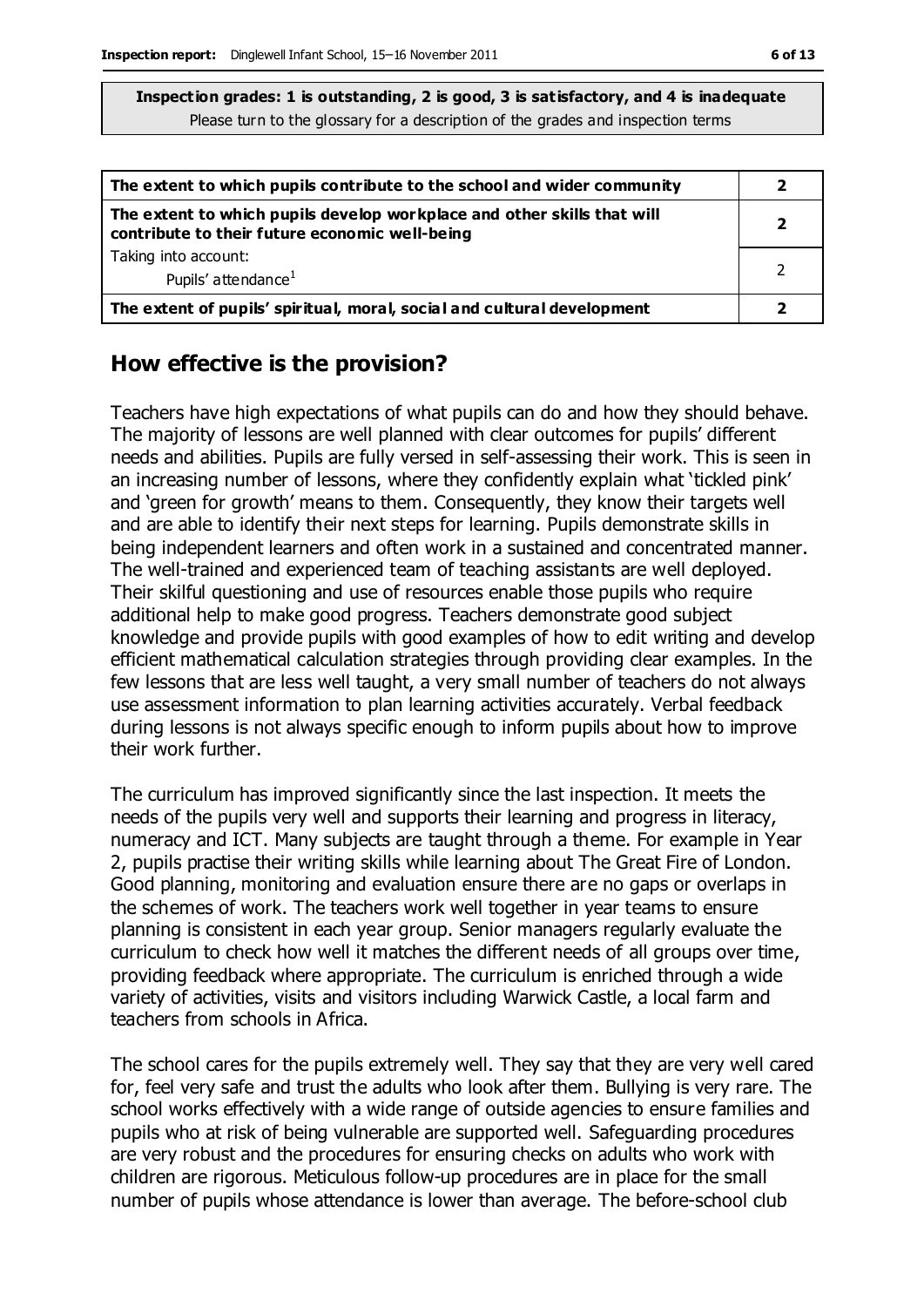| The extent to which pupils contribute to the school and wider community                                                   |  |
|---------------------------------------------------------------------------------------------------------------------------|--|
| The extent to which pupils develop workplace and other skills that will<br>contribute to their future economic well-being |  |
| Taking into account:                                                                                                      |  |
| Pupils' attendance <sup>1</sup>                                                                                           |  |
| The extent of pupils' spiritual, moral, social and cultural development                                                   |  |

#### **How effective is the provision?**

Teachers have high expectations of what pupils can do and how they should behave. The majority of lessons are well planned with clear outcomes for pupils' different needs and abilities. Pupils are fully versed in self-assessing their work. This is seen in an increasing number of lessons, where they confidently explain what 'tickled pink' and 'green for growth' means to them. Consequently, they know their targets well and are able to identify their next steps for learning. Pupils demonstrate skills in being independent learners and often work in a sustained and concentrated manner. The well-trained and experienced team of teaching assistants are well deployed. Their skilful questioning and use of resources enable those pupils who require additional help to make good progress. Teachers demonstrate good subject knowledge and provide pupils with good examples of how to edit writing and develop efficient mathematical calculation strategies through providing clear examples. In the few lessons that are less well taught, a very small number of teachers do not always use assessment information to plan learning activities accurately. Verbal feedback during lessons is not always specific enough to inform pupils about how to improve their work further.

The curriculum has improved significantly since the last inspection. It meets the needs of the pupils very well and supports their learning and progress in literacy, numeracy and ICT. Many subjects are taught through a theme. For example in Year 2, pupils practise their writing skills while learning about The Great Fire of London. Good planning, monitoring and evaluation ensure there are no gaps or overlaps in the schemes of work. The teachers work well together in year teams to ensure planning is consistent in each year group. Senior managers regularly evaluate the curriculum to check how well it matches the different needs of all groups over time, providing feedback where appropriate. The curriculum is enriched through a wide variety of activities, visits and visitors including Warwick Castle, a local farm and teachers from schools in Africa.

The school cares for the pupils extremely well. They say that they are very well cared for, feel very safe and trust the adults who look after them. Bullying is very rare. The school works effectively with a wide range of outside agencies to ensure families and pupils who at risk of being vulnerable are supported well. Safeguarding procedures are very robust and the procedures for ensuring checks on adults who work with children are rigorous. Meticulous follow-up procedures are in place for the small number of pupils whose attendance is lower than average. The before-school club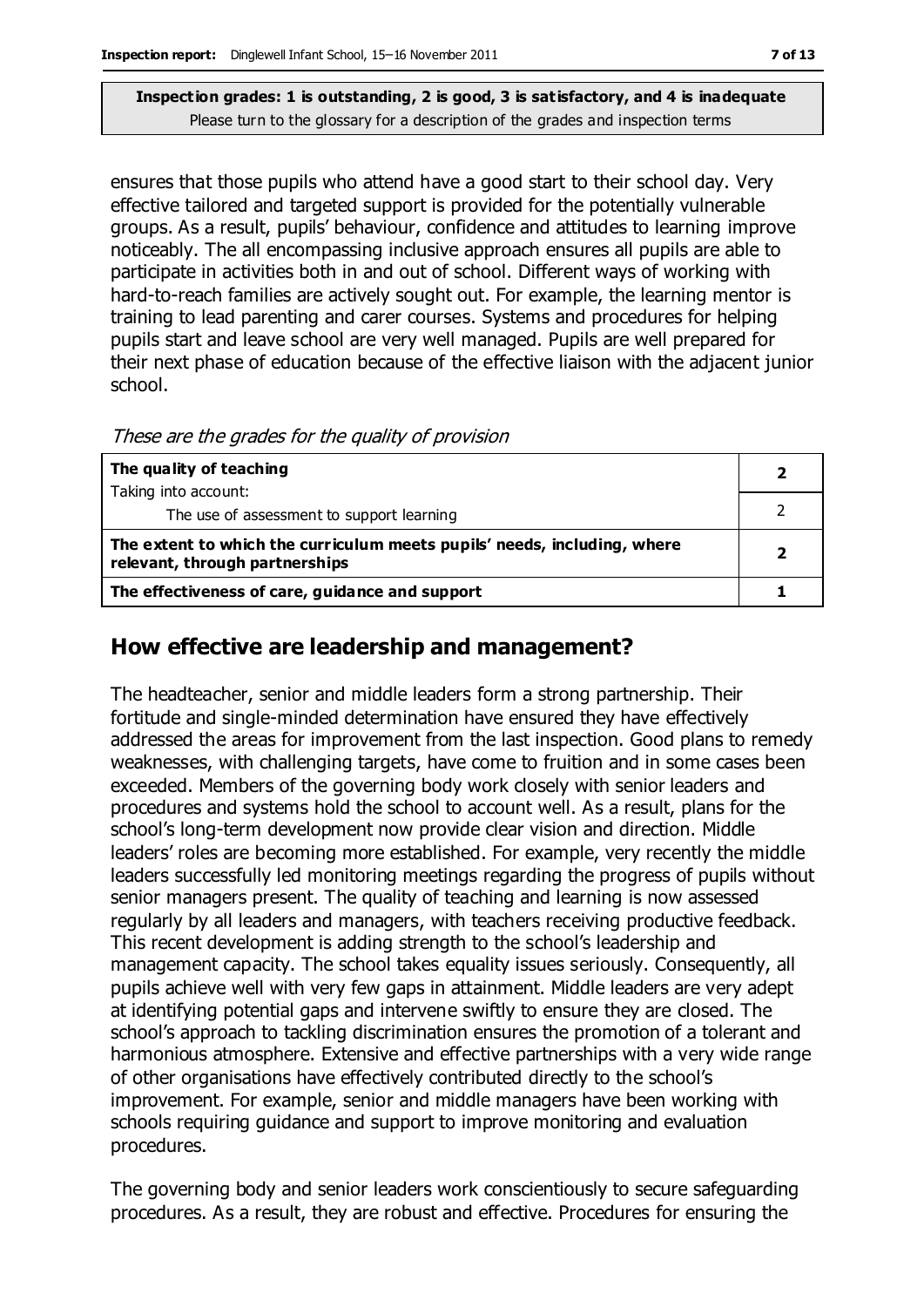ensures that those pupils who attend have a good start to their school day. Very effective tailored and targeted support is provided for the potentially vulnerable groups. As a result, pupils' behaviour, confidence and attitudes to learning improve noticeably. The all encompassing inclusive approach ensures all pupils are able to participate in activities both in and out of school. Different ways of working with hard-to-reach families are actively sought out. For example, the learning mentor is training to lead parenting and carer courses. Systems and procedures for helping pupils start and leave school are very well managed. Pupils are well prepared for their next phase of education because of the effective liaison with the adjacent junior school.

These are the grades for the quality of provision

| The quality of teaching                                                                                    |  |
|------------------------------------------------------------------------------------------------------------|--|
| Taking into account:                                                                                       |  |
| The use of assessment to support learning                                                                  |  |
| The extent to which the curriculum meets pupils' needs, including, where<br>relevant, through partnerships |  |
| The effectiveness of care, guidance and support                                                            |  |

# **How effective are leadership and management?**

The headteacher, senior and middle leaders form a strong partnership. Their fortitude and single-minded determination have ensured they have effectively addressed the areas for improvement from the last inspection. Good plans to remedy weaknesses, with challenging targets, have come to fruition and in some cases been exceeded. Members of the governing body work closely with senior leaders and procedures and systems hold the school to account well. As a result, plans for the school's long-term development now provide clear vision and direction. Middle leaders' roles are becoming more established. For example, very recently the middle leaders successfully led monitoring meetings regarding the progress of pupils without senior managers present. The quality of teaching and learning is now assessed regularly by all leaders and managers, with teachers receiving productive feedback. This recent development is adding strength to the school's leadership and management capacity. The school takes equality issues seriously. Consequently, all pupils achieve well with very few gaps in attainment. Middle leaders are very adept at identifying potential gaps and intervene swiftly to ensure they are closed. The school's approach to tackling discrimination ensures the promotion of a tolerant and harmonious atmosphere. Extensive and effective partnerships with a very wide range of other organisations have effectively contributed directly to the school's improvement. For example, senior and middle managers have been working with schools requiring guidance and support to improve monitoring and evaluation procedures.

The governing body and senior leaders work conscientiously to secure safeguarding procedures. As a result, they are robust and effective. Procedures for ensuring the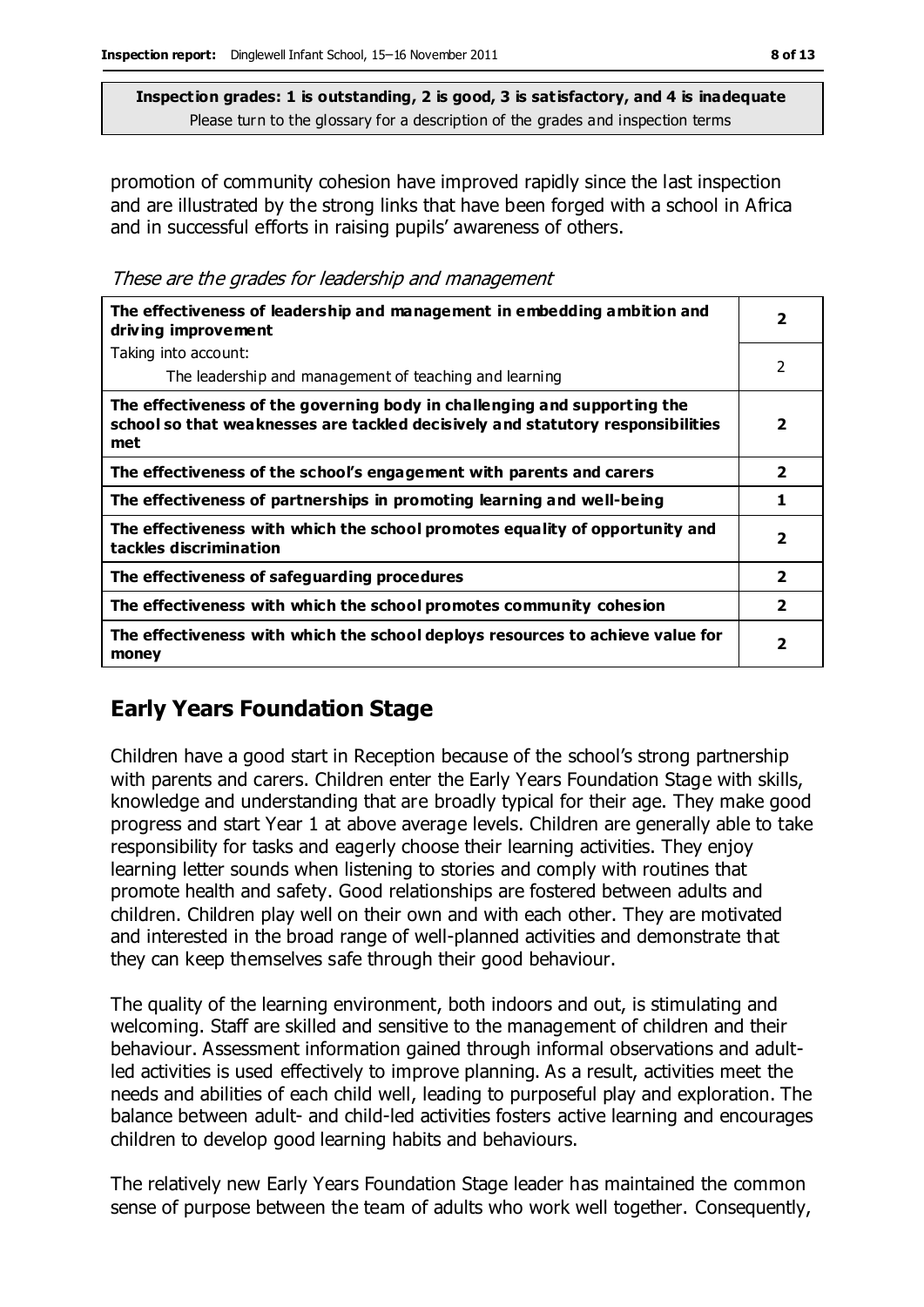promotion of community cohesion have improved rapidly since the last inspection and are illustrated by the strong links that have been forged with a school in Africa and in successful efforts in raising pupils' awareness of others.

These are the grades for leadership and management

| The effectiveness of leadership and management in embedding ambition and<br>driving improvement                                                                     | $\overline{\mathbf{2}}$ |
|---------------------------------------------------------------------------------------------------------------------------------------------------------------------|-------------------------|
| Taking into account:                                                                                                                                                |                         |
| The leadership and management of teaching and learning                                                                                                              | 2                       |
| The effectiveness of the governing body in challenging and supporting the<br>school so that weaknesses are tackled decisively and statutory responsibilities<br>met | 2                       |
| The effectiveness of the school's engagement with parents and carers                                                                                                | $\overline{2}$          |
| The effectiveness of partnerships in promoting learning and well-being                                                                                              | 1                       |
| The effectiveness with which the school promotes equality of opportunity and<br>tackles discrimination                                                              | $\overline{\mathbf{2}}$ |
| The effectiveness of safeguarding procedures                                                                                                                        | $\overline{\mathbf{2}}$ |
| The effectiveness with which the school promotes community cohesion                                                                                                 | $\overline{\mathbf{2}}$ |
| The effectiveness with which the school deploys resources to achieve value for<br>money                                                                             | $\overline{\mathbf{2}}$ |

# **Early Years Foundation Stage**

Children have a good start in Reception because of the school's strong partnership with parents and carers. Children enter the Early Years Foundation Stage with skills, knowledge and understanding that are broadly typical for their age. They make good progress and start Year 1 at above average levels. Children are generally able to take responsibility for tasks and eagerly choose their learning activities. They enjoy learning letter sounds when listening to stories and comply with routines that promote health and safety. Good relationships are fostered between adults and children. Children play well on their own and with each other. They are motivated and interested in the broad range of well-planned activities and demonstrate that they can keep themselves safe through their good behaviour.

The quality of the learning environment, both indoors and out, is stimulating and welcoming. Staff are skilled and sensitive to the management of children and their behaviour. Assessment information gained through informal observations and adultled activities is used effectively to improve planning. As a result, activities meet the needs and abilities of each child well, leading to purposeful play and exploration. The balance between adult- and child-led activities fosters active learning and encourages children to develop good learning habits and behaviours.

The relatively new Early Years Foundation Stage leader has maintained the common sense of purpose between the team of adults who work well together. Consequently,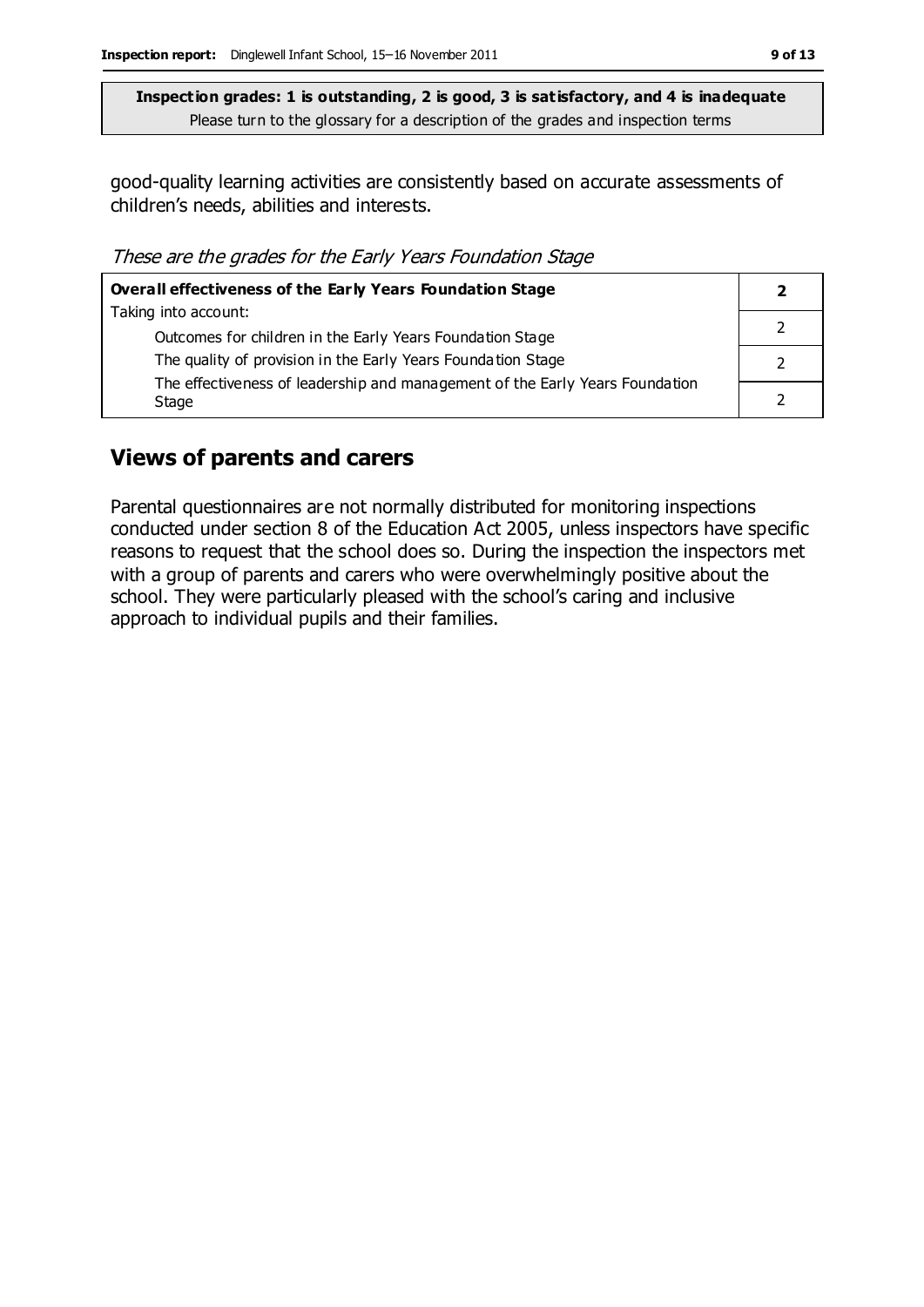good-quality learning activities are consistently based on accurate assessments of children's needs, abilities and interests.

These are the grades for the Early Years Foundation Stage

| <b>Overall effectiveness of the Early Years Foundation Stage</b>                      |  |
|---------------------------------------------------------------------------------------|--|
| Taking into account:                                                                  |  |
| Outcomes for children in the Early Years Foundation Stage                             |  |
| The quality of provision in the Early Years Foundation Stage                          |  |
| The effectiveness of leadership and management of the Early Years Foundation<br>Stage |  |

#### **Views of parents and carers**

Parental questionnaires are not normally distributed for monitoring inspections conducted under section 8 of the Education Act 2005, unless inspectors have specific reasons to request that the school does so. During the inspection the inspectors met with a group of parents and carers who were overwhelmingly positive about the school. They were particularly pleased with the school's caring and inclusive approach to individual pupils and their families.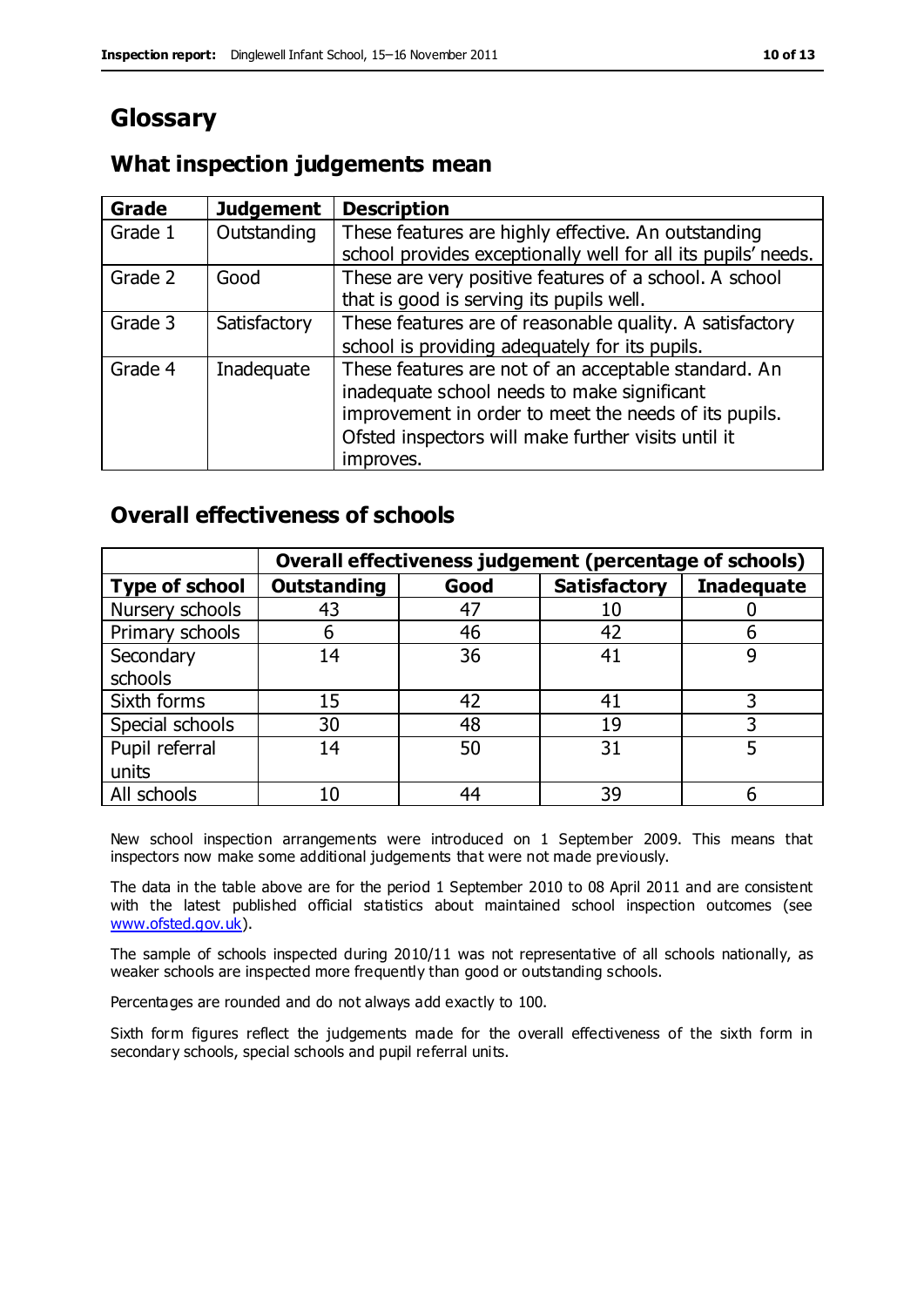# **Glossary**

# **What inspection judgements mean**

| Grade   | <b>Judgement</b> | <b>Description</b>                                            |
|---------|------------------|---------------------------------------------------------------|
| Grade 1 | Outstanding      | These features are highly effective. An outstanding           |
|         |                  | school provides exceptionally well for all its pupils' needs. |
| Grade 2 | Good             | These are very positive features of a school. A school        |
|         |                  | that is good is serving its pupils well.                      |
| Grade 3 | Satisfactory     | These features are of reasonable quality. A satisfactory      |
|         |                  | school is providing adequately for its pupils.                |
| Grade 4 | Inadequate       | These features are not of an acceptable standard. An          |
|         |                  | inadequate school needs to make significant                   |
|         |                  | improvement in order to meet the needs of its pupils.         |
|         |                  | Ofsted inspectors will make further visits until it           |
|         |                  | improves.                                                     |

### **Overall effectiveness of schools**

|                       | Overall effectiveness judgement (percentage of schools) |      |                     |                   |
|-----------------------|---------------------------------------------------------|------|---------------------|-------------------|
| <b>Type of school</b> | <b>Outstanding</b>                                      | Good | <b>Satisfactory</b> | <b>Inadequate</b> |
| Nursery schools       | 43                                                      | 47   |                     |                   |
| Primary schools       | h                                                       | 46   | 42                  |                   |
| Secondary             | 14                                                      | 36   | 41                  |                   |
| schools               |                                                         |      |                     |                   |
| Sixth forms           | 15                                                      | 42   | 41                  | 3                 |
| Special schools       | 30                                                      | 48   | 19                  |                   |
| Pupil referral        | 14                                                      | 50   | 31                  |                   |
| units                 |                                                         |      |                     |                   |
| All schools           | 10                                                      | 44   | 39                  |                   |

New school inspection arrangements were introduced on 1 September 2009. This means that inspectors now make some additional judgements that were not made previously.

The data in the table above are for the period 1 September 2010 to 08 April 2011 and are consistent with the latest published official statistics about maintained school inspection outcomes (see [www.ofsted.gov.uk\)](http://www.ofsted.gov.uk/).

The sample of schools inspected during 2010/11 was not representative of all schools nationally, as weaker schools are inspected more frequently than good or outstanding schools.

Percentages are rounded and do not always add exactly to 100.

Sixth form figures reflect the judgements made for the overall effectiveness of the sixth form in secondary schools, special schools and pupil referral units.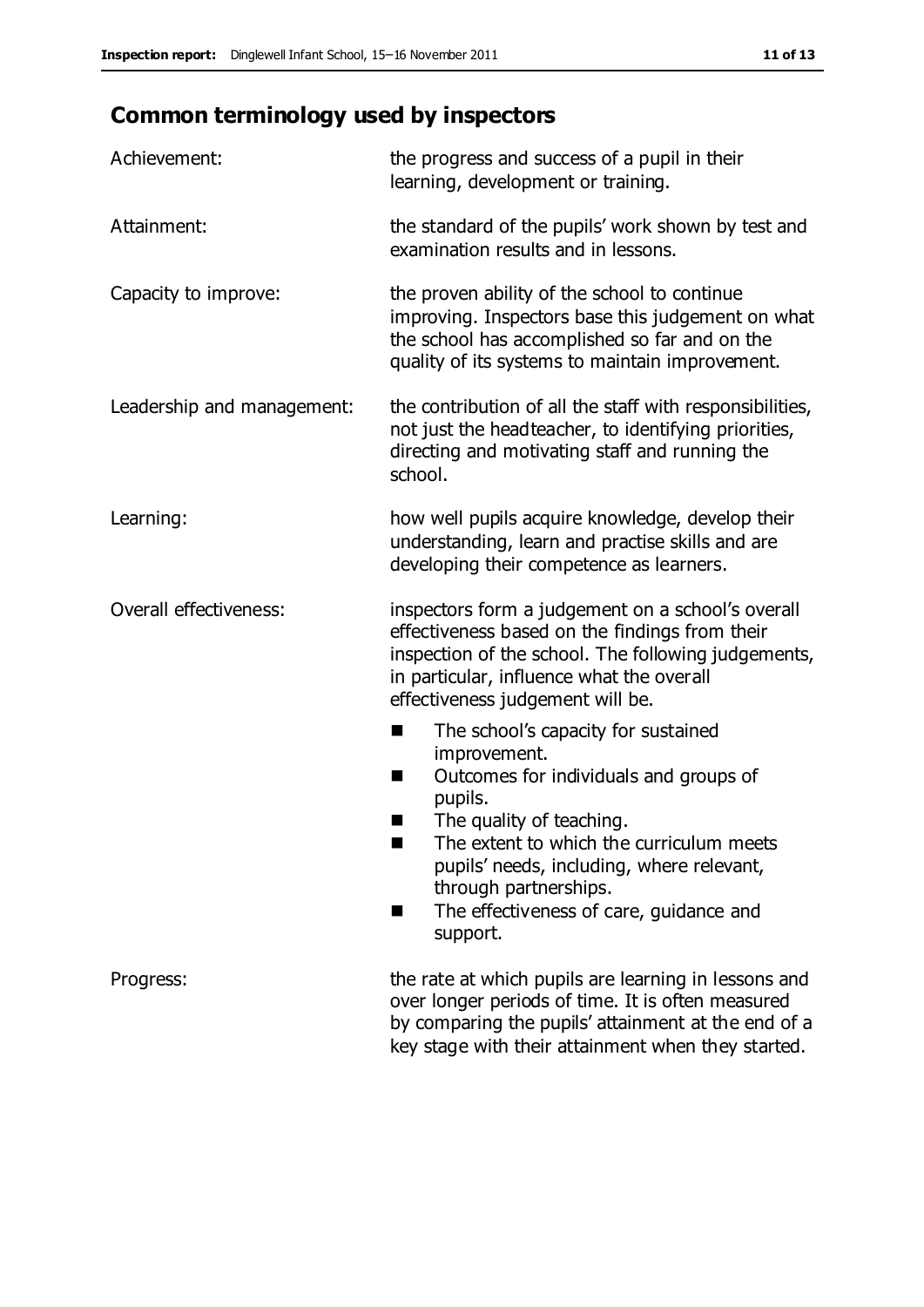# **Common terminology used by inspectors**

| Achievement:               | the progress and success of a pupil in their<br>learning, development or training.                                                                                                                                                                                                                                                |  |
|----------------------------|-----------------------------------------------------------------------------------------------------------------------------------------------------------------------------------------------------------------------------------------------------------------------------------------------------------------------------------|--|
| Attainment:                | the standard of the pupils' work shown by test and<br>examination results and in lessons.                                                                                                                                                                                                                                         |  |
| Capacity to improve:       | the proven ability of the school to continue<br>improving. Inspectors base this judgement on what<br>the school has accomplished so far and on the<br>quality of its systems to maintain improvement.                                                                                                                             |  |
| Leadership and management: | the contribution of all the staff with responsibilities,<br>not just the headteacher, to identifying priorities,<br>directing and motivating staff and running the<br>school.                                                                                                                                                     |  |
| Learning:                  | how well pupils acquire knowledge, develop their<br>understanding, learn and practise skills and are<br>developing their competence as learners.                                                                                                                                                                                  |  |
| Overall effectiveness:     | inspectors form a judgement on a school's overall<br>effectiveness based on the findings from their<br>inspection of the school. The following judgements,<br>in particular, influence what the overall<br>effectiveness judgement will be.                                                                                       |  |
|                            | The school's capacity for sustained<br>improvement.<br>Outcomes for individuals and groups of<br>H<br>pupils.<br>The quality of teaching.<br>ш<br>The extent to which the curriculum meets<br>٠<br>pupils' needs, including, where relevant,<br>through partnerships.<br>The effectiveness of care, guidance and<br>H<br>support. |  |
| Progress:                  | the rate at which pupils are learning in lessons and<br>over longer periods of time. It is often measured<br>by comparing the pupils' attainment at the end of a<br>key stage with their attainment when they started.                                                                                                            |  |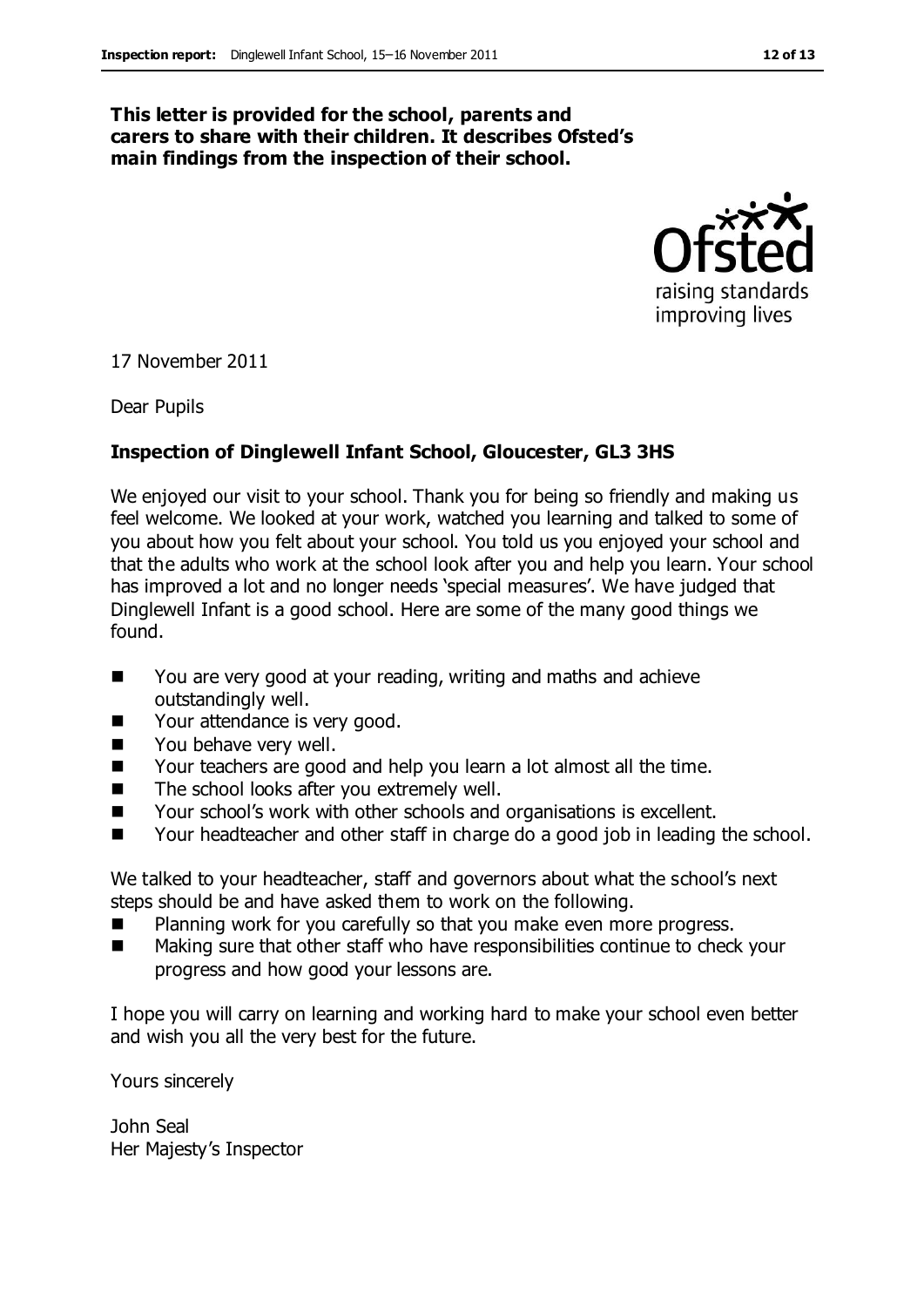#### **This letter is provided for the school, parents and carers to share with their children. It describes Ofsted's main findings from the inspection of their school.**



17 November 2011

Dear Pupils

#### **Inspection of Dinglewell Infant School, Gloucester, GL3 3HS**

We enjoyed our visit to your school. Thank you for being so friendly and making us feel welcome. We looked at your work, watched you learning and talked to some of you about how you felt about your school. You told us you enjoyed your school and that the adults who work at the school look after you and help you learn. Your school has improved a lot and no longer needs 'special measures'. We have judged that Dinglewell Infant is a good school. Here are some of the many good things we found.

- You are very good at your reading, writing and maths and achieve outstandingly well.
- Your attendance is very good.
- **Now behave very well.**
- Your teachers are good and help you learn a lot almost all the time.
- The school looks after you extremely well.
- Your school's work with other schools and organisations is excellent.
- Your headteacher and other staff in charge do a good job in leading the school.

We talked to your headteacher, staff and governors about what the school's next steps should be and have asked them to work on the following.

- Planning work for you carefully so that you make even more progress.
- **Making sure that other staff who have responsibilities continue to check your** progress and how good your lessons are.

I hope you will carry on learning and working hard to make your school even better and wish you all the very best for the future.

Yours sincerely

John Seal Her Majesty's Inspector